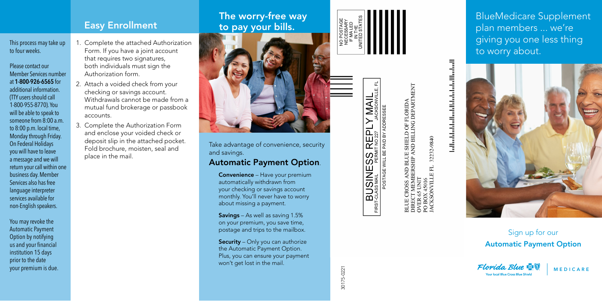This process may take up to four weeks.

- Please contact our Member Services number at **1-800-926-6565** for additional information. (TTY users should call 1-800-955-8770). You will be able to speak to someone from 8:00 a.m. to 8:00 p.m. local time, Monday through Friday. On Federal Holidays you will have to leave a message and we will return your call within one business day. Member Services also has free language interpreter services available for non-English speakers.
- You may revoke the Automatic Payment Option by notifying us and your financial institution 15 days prior to the date your premium is due.
- 1. Complete the attached Authorization Form. If you have a joint account that requires two signatures, both individuals must sign the Authorization form.
- 2. Attach a voided check from your checking or savings account. Withdrawals cannot be made from a mutual fund brokerage or passbook accounts.
- 3. Complete the Authorization Form and enclose your voided check or deposit slip in the attached pocket. Fold brochure, moisten, seal and place in the mail.

## Easy Enrollment<br>
Easy Enrollment<br>
The worry-free way to pay your bills.



Take advantage of convenience, security and savings.

## Automatic Payment Option .

Convenience – Have your premium automatically withdrawn from your checking or savings account monthly. You'll never have to worry about missing a payment.

Savings – As well as saving 1.5% on your premium, you save time, postage and trips to the mailbox.

Security - Only you can authorize the Automatic Payment Option. Plus, you can ensure your payment won't get lost in the mail.





30175-0221

30175-0221

E SHIELD OF FLORIDA<br>AND BILLING DEPARTMENT 32232-9840 ND BLUE 1<br>ERSHIP AN OVER 65 UNIT<br>PO BOX 45016<br>JACKSONVILLE FL

BlueMedicare Supplement plan members ... we're giving you one less thing to worry about.



Sign up for our Automatic Payment Option